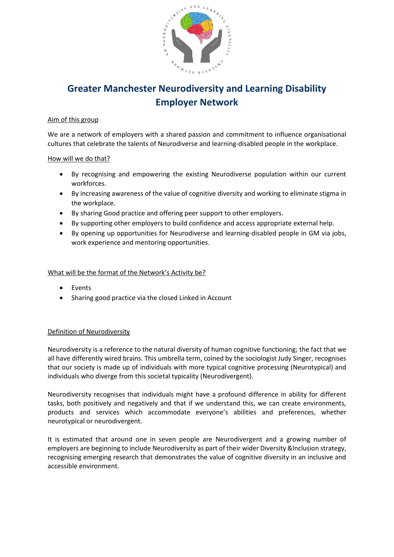

# **Greater Manchester Neurodiversity and Learning Disability Employer Network**

### Aim of this group

We are a network of employers with a shared passion and commitment to influence organisational cultures that celebrate the talents of Neurodiverse and learning-disabled people in the workplace.

#### How will we do that?

- By recognising and empowering the existing Neurodiverse population within our current workforces.
- By increasing awareness of the value of cognitive diversity and working to eliminate stigma in the workplace.
- By sharing Good practice and offering peer support to other employers.
- By supporting other employers to build confidence and access appropriate external help.
- By opening up opportunities for Neurodiverse and learning-disabled people in GM via jobs, work experience and mentoring opportunities.

#### What will be the format of the Network's Activity be?

- Events
- Sharing good practice via the closed Linked in Account

## Definition of Neurodiversity

Neurodiversity is a reference to the natural diversity of human cognitive functioning; the fact that we all have differently wired brains. This umbrella term, coined by the sociologist Judy Singer, recognises that our society is made up of individuals with more typical cognitive processing (Neurotypical) and individuals who diverge from this societal typicality (Neurodivergent).

Neurodiversity recognises that individuals might have a profound difference in ability for different tasks, both positively and negatively and that if we understand this, we can create environments, products and services which accommodate everyone's abilities and preferences, whether neurotypical or neurodivergent.

It is estimated that around one in seven people are Neurodivergent and a growing number of employers are beginning to include Neurodiversity as part of their wider Diversity &Inclusion strategy, recognising emerging research that demonstrates the value of cognitive diversity in an inclusive and accessible environment.